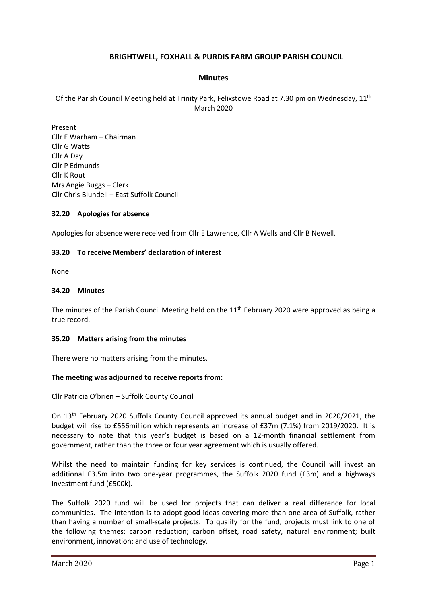# **BRIGHTWELL, FOXHALL & PURDIS FARM GROUP PARISH COUNCIL**

#### **Minutes**

Of the Parish Council Meeting held at Trinity Park, Felixstowe Road at 7.30 pm on Wednesday, 11<sup>th</sup> March 2020

Present Cllr E Warham – Chairman Cllr G Watts Cllr A Day Cllr P Edmunds Cllr K Rout Mrs Angie Buggs – Clerk Cllr Chris Blundell – East Suffolk Council

#### **32.20 Apologies for absence**

Apologies for absence were received from Cllr E Lawrence, Cllr A Wells and Cllr B Newell.

#### **33.20 To receive Members' declaration of interest**

None

#### **34.20 Minutes**

The minutes of the Parish Council Meeting held on the 11<sup>th</sup> February 2020 were approved as being a true record.

#### **35.20 Matters arising from the minutes**

There were no matters arising from the minutes.

#### **The meeting was adjourned to receive reports from:**

Cllr Patricia O'brien – Suffolk County Council

On 13th February 2020 Suffolk County Council approved its annual budget and in 2020/2021, the budget will rise to £556million which represents an increase of £37m (7.1%) from 2019/2020. It is necessary to note that this year's budget is based on a 12-month financial settlement from government, rather than the three or four year agreement which is usually offered.

Whilst the need to maintain funding for key services is continued, the Council will invest an additional £3.5m into two one-year programmes, the Suffolk 2020 fund (£3m) and a highways investment fund (£500k).

The Suffolk 2020 fund will be used for projects that can deliver a real difference for local communities. The intention is to adopt good ideas covering more than one area of Suffolk, rather than having a number of small-scale projects. To qualify for the fund, projects must link to one of the following themes: carbon reduction; carbon offset, road safety, natural environment; built environment, innovation; and use of technology.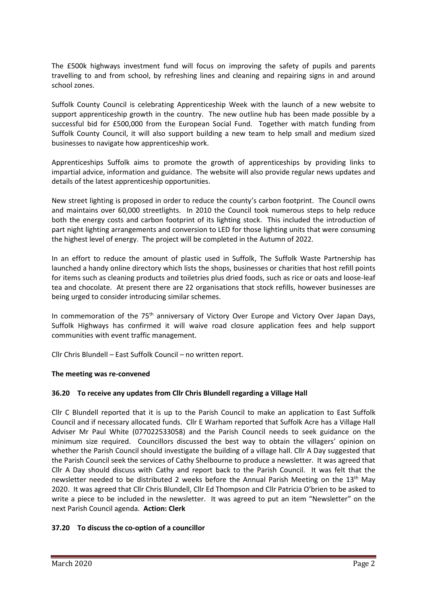The £500k highways investment fund will focus on improving the safety of pupils and parents travelling to and from school, by refreshing lines and cleaning and repairing signs in and around school zones.

Suffolk County Council is celebrating Apprenticeship Week with the launch of a new website to support apprenticeship growth in the country. The new outline hub has been made possible by a successful bid for £500,000 from the European Social Fund. Together with match funding from Suffolk County Council, it will also support building a new team to help small and medium sized businesses to navigate how apprenticeship work.

Apprenticeships Suffolk aims to promote the growth of apprenticeships by providing links to impartial advice, information and guidance. The website will also provide regular news updates and details of the latest apprenticeship opportunities.

New street lighting is proposed in order to reduce the county's carbon footprint. The Council owns and maintains over 60,000 streetlights. In 2010 the Council took numerous steps to help reduce both the energy costs and carbon footprint of its lighting stock. This included the introduction of part night lighting arrangements and conversion to LED for those lighting units that were consuming the highest level of energy. The project will be completed in the Autumn of 2022.

In an effort to reduce the amount of plastic used in Suffolk, The Suffolk Waste Partnership has launched a handy online directory which lists the shops, businesses or charities that host refill points for items such as cleaning products and toiletries plus dried foods, such as rice or oats and loose-leaf tea and chocolate. At present there are 22 organisations that stock refills, however businesses are being urged to consider introducing similar schemes.

In commemoration of the 75<sup>th</sup> anniversary of Victory Over Europe and Victory Over Japan Days, Suffolk Highways has confirmed it will waive road closure application fees and help support communities with event traffic management.

Cllr Chris Blundell – East Suffolk Council – no written report.

## **The meeting was re-convened**

# **36.20 To receive any updates from Cllr Chris Blundell regarding a Village Hall**

Cllr C Blundell reported that it is up to the Parish Council to make an application to East Suffolk Council and if necessary allocated funds. Cllr E Warham reported that Suffolk Acre has a Village Hall Adviser Mr Paul White (077022533058) and the Parish Council needs to seek guidance on the minimum size required. Councillors discussed the best way to obtain the villagers' opinion on whether the Parish Council should investigate the building of a village hall. Cllr A Day suggested that the Parish Council seek the services of Cathy Shelbourne to produce a newsletter. It was agreed that Cllr A Day should discuss with Cathy and report back to the Parish Council. It was felt that the newsletter needed to be distributed 2 weeks before the Annual Parish Meeting on the  $13<sup>th</sup>$  May 2020. It was agreed that Cllr Chris Blundell, Cllr Ed Thompson and Cllr Patricia O'brien to be asked to write a piece to be included in the newsletter. It was agreed to put an item "Newsletter" on the next Parish Council agenda. **Action: Clerk**

## **37.20 To discuss the co-option of a councillor**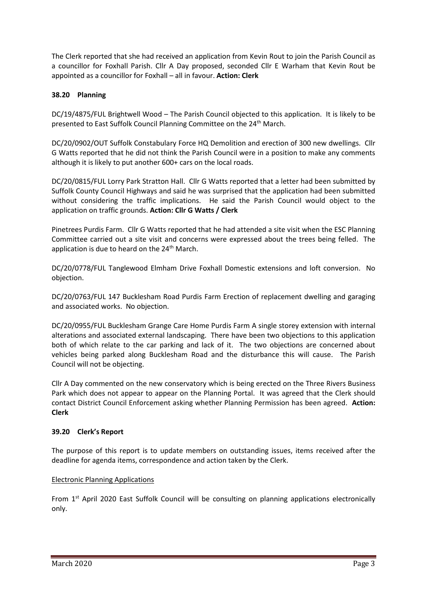The Clerk reported that she had received an application from Kevin Rout to join the Parish Council as a councillor for Foxhall Parish. Cllr A Day proposed, seconded Cllr E Warham that Kevin Rout be appointed as a councillor for Foxhall – all in favour. **Action: Clerk**

# **38.20 Planning**

DC/19/4875/FUL Brightwell Wood – The Parish Council objected to this application. It is likely to be presented to East Suffolk Council Planning Committee on the 24th March.

DC/20/0902/OUT Suffolk Constabulary Force HQ Demolition and erection of 300 new dwellings. Cllr G Watts reported that he did not think the Parish Council were in a position to make any comments although it is likely to put another 600+ cars on the local roads.

DC/20/0815/FUL Lorry Park Stratton Hall. Cllr G Watts reported that a letter had been submitted by Suffolk County Council Highways and said he was surprised that the application had been submitted without considering the traffic implications. He said the Parish Council would object to the application on traffic grounds. **Action: Cllr G Watts / Clerk**

Pinetrees Purdis Farm. Cllr G Watts reported that he had attended a site visit when the ESC Planning Committee carried out a site visit and concerns were expressed about the trees being felled. The application is due to heard on the 24<sup>th</sup> March.

DC/20/0778/FUL Tanglewood Elmham Drive Foxhall Domestic extensions and loft conversion. No objection.

DC/20/0763/FUL 147 Bucklesham Road Purdis Farm Erection of replacement dwelling and garaging and associated works. No objection.

DC/20/0955/FUL Bucklesham Grange Care Home Purdis Farm A single storey extension with internal alterations and associated external landscaping. There have been two objections to this application both of which relate to the car parking and lack of it. The two objections are concerned about vehicles being parked along Bucklesham Road and the disturbance this will cause. The Parish Council will not be objecting.

Cllr A Day commented on the new conservatory which is being erected on the Three Rivers Business Park which does not appear to appear on the Planning Portal. It was agreed that the Clerk should contact District Council Enforcement asking whether Planning Permission has been agreed. **Action: Clerk**

## **39.20 Clerk's Report**

The purpose of this report is to update members on outstanding issues, items received after the deadline for agenda items, correspondence and action taken by the Clerk.

## Electronic Planning Applications

From 1<sup>st</sup> April 2020 East Suffolk Council will be consulting on planning applications electronically only.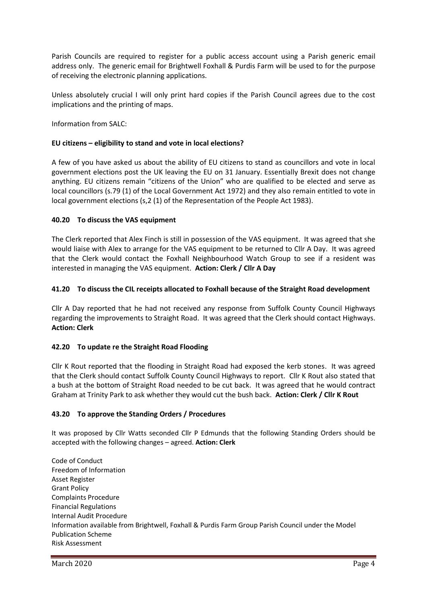Parish Councils are required to register for a public access account using a Parish generic email address only. The generic email for Brightwell Foxhall & Purdis Farm will be used to for the purpose of receiving the electronic planning applications.

Unless absolutely crucial I will only print hard copies if the Parish Council agrees due to the cost implications and the printing of maps.

Information from SALC:

# **EU citizens – eligibility to stand and vote in local elections?**

A few of you have asked us about the ability of EU citizens to stand as councillors and vote in local government elections post the UK leaving the EU on 31 January. Essentially Brexit does not change anything. EU citizens remain "citizens of the Union" who are qualified to be elected and serve as local councillors (s.79 (1) of the Local Government Act 1972) and they also remain entitled to vote in local government elections (s,2 (1) of the Representation of the People Act 1983).

## **40.20 To discuss the VAS equipment**

The Clerk reported that Alex Finch is still in possession of the VAS equipment. It was agreed that she would liaise with Alex to arrange for the VAS equipment to be returned to Cllr A Day. It was agreed that the Clerk would contact the Foxhall Neighbourhood Watch Group to see if a resident was interested in managing the VAS equipment. **Action: Clerk / Cllr A Day**

## **41.20 To discuss the CIL receipts allocated to Foxhall because of the Straight Road development**

Cllr A Day reported that he had not received any response from Suffolk County Council Highways regarding the improvements to Straight Road. It was agreed that the Clerk should contact Highways. **Action: Clerk** 

## **42.20 To update re the Straight Road Flooding**

Cllr K Rout reported that the flooding in Straight Road had exposed the kerb stones. It was agreed that the Clerk should contact Suffolk County Council Highways to report. Cllr K Rout also stated that a bush at the bottom of Straight Road needed to be cut back. It was agreed that he would contract Graham at Trinity Park to ask whether they would cut the bush back. **Action: Clerk / Cllr K Rout**

## **43.20 To approve the Standing Orders / Procedures**

It was proposed by Cllr Watts seconded Cllr P Edmunds that the following Standing Orders should be accepted with the following changes – agreed. **Action: Clerk**

Code of Conduct Freedom of Information Asset Register Grant Policy Complaints Procedure Financial Regulations Internal Audit Procedure Information available from Brightwell, Foxhall & Purdis Farm Group Parish Council under the Model Publication Scheme Risk Assessment